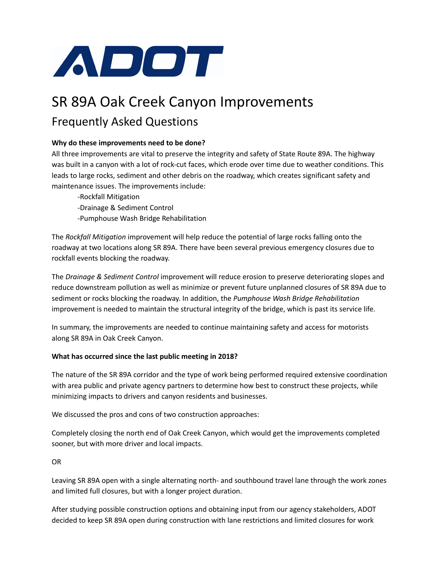

# SR 89A Oak Creek Canyon Improvements Frequently Asked Questions

## **Why do these improvements need to be done?**

All three improvements are vital to preserve the integrity and safety of State Route 89A. The highway was built in a canyon with a lot of rock-cut faces, which erode over time due to weather conditions. This leads to large rocks, sediment and other debris on the roadway, which creates significant safety and maintenance issues. The improvements include:

-Rockfall Mitigation -Drainage & Sediment Control -Pumphouse Wash Bridge Rehabilitation

The *Rockfall Mitigation* improvement will help reduce the potential of large rocks falling onto the roadway at two locations along SR 89A. There have been several previous emergency closures due to rockfall events blocking the roadway.

The *Drainage & Sediment Control* improvement will reduce erosion to preserve deteriorating slopes and reduce downstream pollution as well as minimize or prevent future unplanned closures of SR 89A due to sediment or rocks blocking the roadway. In addition, the *Pumphouse Wash Bridge Rehabilitation* improvement is needed to maintain the structural integrity of the bridge, which is past its service life.

In summary, the improvements are needed to continue maintaining safety and access for motorists along SR 89A in Oak Creek Canyon.

## **What has occurred since the last public meeting in 2018?**

The nature of the SR 89A corridor and the type of work being performed required extensive coordination with area public and private agency partners to determine how best to construct these projects, while minimizing impacts to drivers and canyon residents and businesses.

We discussed the pros and cons of two construction approaches:

Completely closing the north end of Oak Creek Canyon, which would get the improvements completed sooner, but with more driver and local impacts.

OR

Leaving SR 89A open with a single alternating north- and southbound travel lane through the work zones and limited full closures, but with a longer project duration.

After studying possible construction options and obtaining input from our agency stakeholders, ADOT decided to keep SR 89A open during construction with lane restrictions and limited closures for work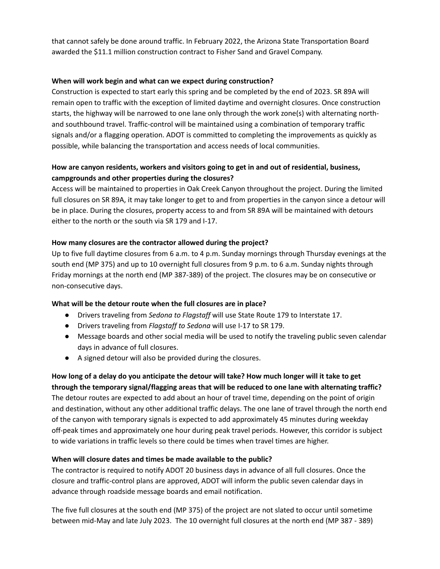that cannot safely be done around traffic. In February 2022, the Arizona State Transportation Board awarded the \$11.1 million construction contract to Fisher Sand and Gravel Company.

#### **When will work begin and what can we expect during construction?**

Construction is expected to start early this spring and be completed by the end of 2023. SR 89A will remain open to traffic with the exception of limited daytime and overnight closures. Once construction starts, the highway will be narrowed to one lane only through the work zone(s) with alternating northand southbound travel. Traffic-control will be maintained using a combination of temporary traffic signals and/or a flagging operation. ADOT is committed to completing the improvements as quickly as possible, while balancing the transportation and access needs of local communities.

## **How are canyon residents, workers and visitors going to get in and out of residential, business, campgrounds and other properties during the closures?**

Access will be maintained to properties in Oak Creek Canyon throughout the project. During the limited full closures on SR 89A, it may take longer to get to and from properties in the canyon since a detour will be in place. During the closures, property access to and from SR 89A will be maintained with detours either to the north or the south via SR 179 and I-17.

#### **How many closures are the contractor allowed during the project?**

Up to five full daytime closures from 6 a.m. to 4 p.m. Sunday mornings through Thursday evenings at the south end (MP 375) and up to 10 overnight full closures from 9 p.m. to 6 a.m. Sunday nights through Friday mornings at the north end (MP 387-389) of the project. The closures may be on consecutive or non-consecutive days.

#### **What will be the detour route when the full closures are in place?**

- Drivers traveling from *Sedona to Flagstaff* will use State Route 179 to Interstate 17.
- Drivers traveling from *Flagstaff to Sedona* will use I-17 to SR 179.
- Message boards and other social media will be used to notify the traveling public seven calendar days in advance of full closures.
- A *s*igned detour will also be provided during the closures.

# How long of a delay do you anticipate the detour will take? How much longer will it take to get **through the temporary signal/flagging areas that will be reduced to one lane with alternating traffic?** The detour routes are expected to add about an hour of travel time, depending on the point of origin and destination, without any other additional traffic delays. The one lane of travel through the north end of the canyon with temporary signals is expected to add approximately 45 minutes during weekday off-peak times and approximately one hour during peak travel periods. However, this corridor is subject to wide variations in traffic levels so there could be times when travel times are higher.

#### **When will closure dates and times be made available to the public?**

The contractor is required to notify ADOT 20 business days in advance of all full closures. Once the closure and traffic-control plans are approved, ADOT will inform the public seven calendar days in advance through roadside message boards and email notification.

The five full closures at the south end (MP 375) of the project are not slated to occur until sometime between mid-May and late July 2023. The 10 overnight full closures at the north end (MP 387 - 389)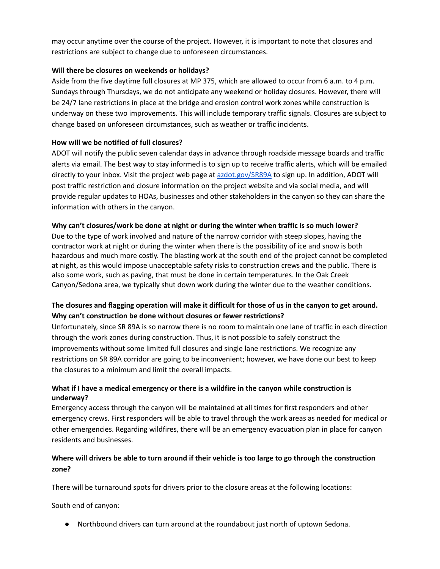may occur anytime over the course of the project. However, it is important to note that closures and restrictions are subject to change due to unforeseen circumstances.

#### **Will there be closures on weekends or holidays?**

Aside from the five daytime full closures at MP 375, which are allowed to occur from 6 a.m. to 4 p.m. Sundays through Thursdays, we do not anticipate any weekend or holiday closures. However, there will be 24/7 lane restrictions in place at the bridge and erosion control work zones while construction is underway on these two improvements. This will include temporary traffic signals. Closures are subject to change based on unforeseen circumstances, such as weather or traffic incidents.

#### **How will we be notified of full closures?**

ADOT will notify the public seven calendar days in advance through roadside message boards and traffic alerts via email. The best way to stay informed is to sign up to receive traffic alerts, which will be emailed directly to your inbox. Visit the project web page at [azdot.gov/SR89A](http://azdot.gov/SR89A) to sign up. In addition, ADOT will post traffic restriction and closure information on the project website and via social media, and will provide regular updates to HOAs, businesses and other stakeholders in the canyon so they can share the information with others in the canyon.

#### **Why can't closures/work be done at night or during the winter when traffic is so much lower?**

Due to the type of work involved and nature of the narrow corridor with steep slopes, having the contractor work at night or during the winter when there is the possibility of ice and snow is both hazardous and much more costly. The blasting work at the south end of the project cannot be completed at night, as this would impose unacceptable safety risks to construction crews and the public. There is also some work, such as paving, that must be done in certain temperatures. In the Oak Creek Canyon/Sedona area, we typically shut down work during the winter due to the weather conditions.

## The closures and flagging operation will make it difficult for those of us in the canyon to get around. **Why can't construction be done without closures or fewer restrictions?**

Unfortunately, since SR 89A is so narrow there is no room to maintain one lane of traffic in each direction through the work zones during construction. Thus, it is not possible to safely construct the improvements without some limited full closures and single lane restrictions. We recognize any restrictions on SR 89A corridor are going to be inconvenient; however, we have done our best to keep the closures to a minimum and limit the overall impacts.

## **What if I have a medical emergency or there is a wildfire in the canyon while construction is underway?**

Emergency access through the canyon will be maintained at all times for first responders and other emergency crews. First responders will be able to travel through the work areas as needed for medical or other emergencies. Regarding wildfires, there will be an emergency evacuation plan in place for canyon residents and businesses.

## Where will drivers be able to turn around if their vehicle is too large to go through the construction **zone?**

There will be turnaround spots for drivers prior to the closure areas at the following locations:

South end of canyon:

● Northbound drivers can turn around at the roundabout just north of uptown Sedona.